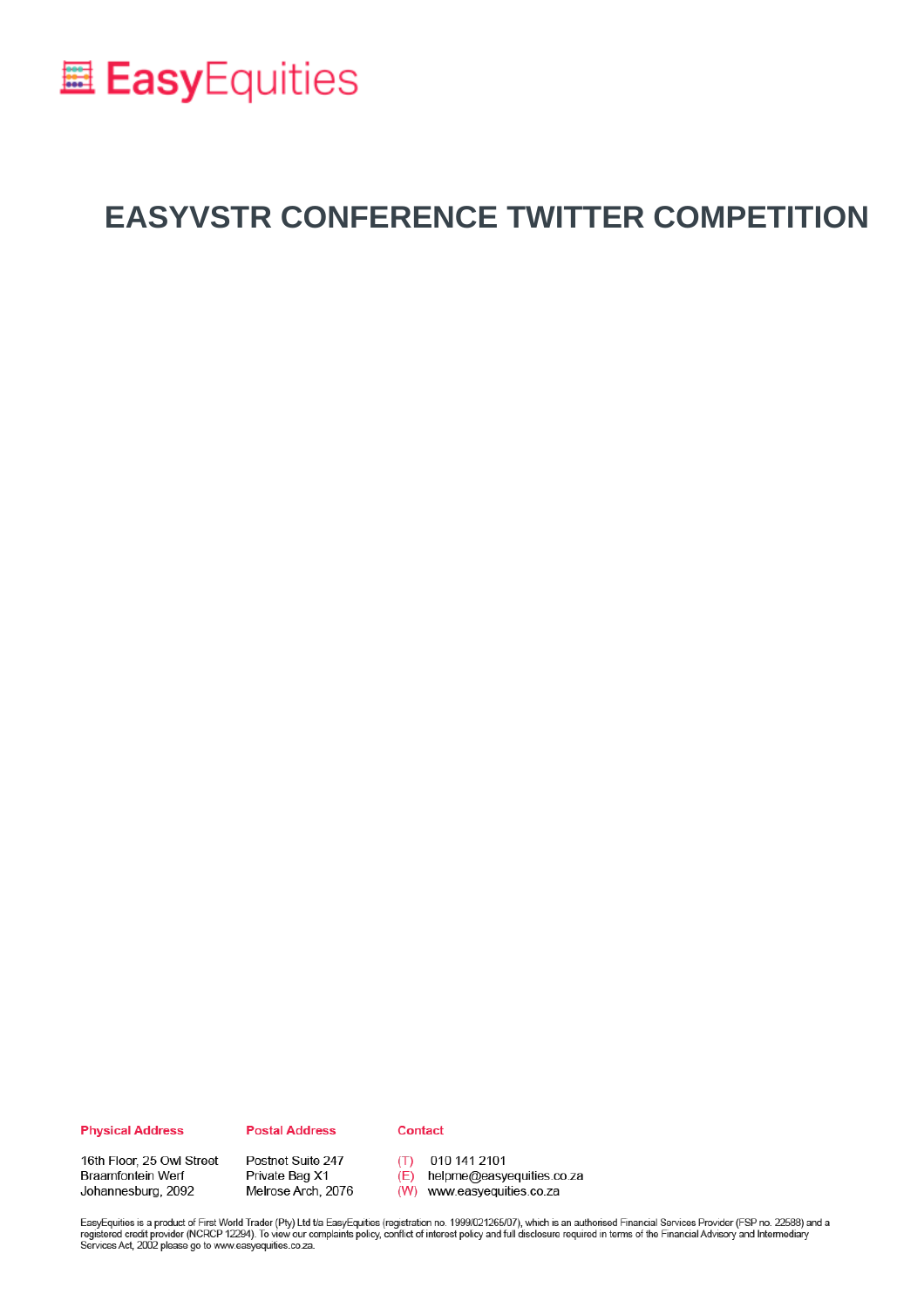

### **EASYVSTR CONFERENCE TWITTER COMPETITION**

#### **Physical Address**

#### **Postal Address**

#### Contact

16th Floor, 25 Owl Street Braamfontein Werf Johannesburg, 2092

Postnet Suite 247 Private Bag X1 Melrose Arch, 2076  $(T)$  010 141 2101

(E) helpme@easyequities.co.za

(W) www.easyequities.co.za

EasyEquities is a product of First World Trader (Pty) Ltd t/a EasyEquities (registration no. 1999/021265/07), which is an authorised Financial Services Provider (FSP no. 22588) and a<br>registered credit provider (NCRCP 12294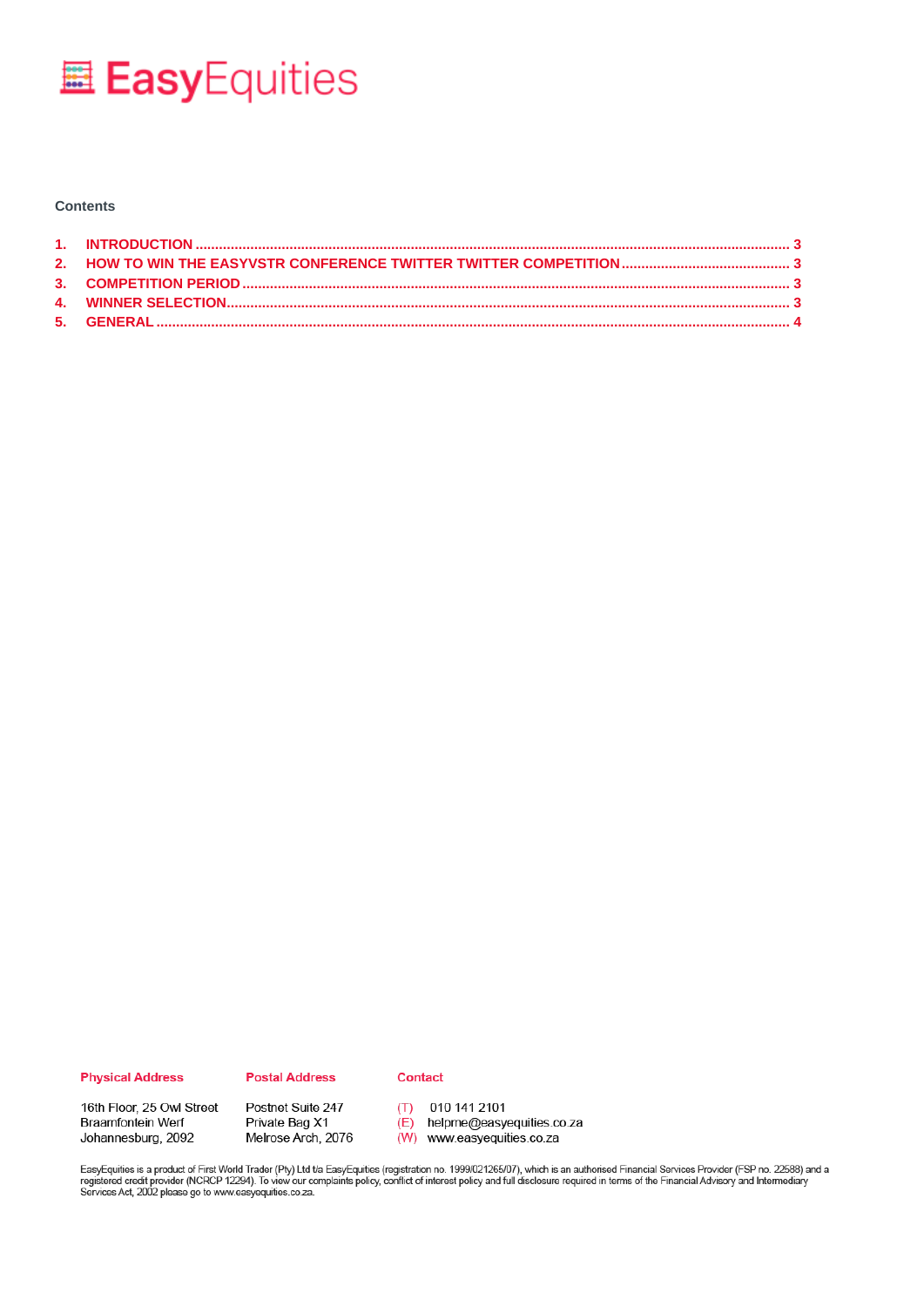

#### **Contents**

#### **Physical Address**

**Postal Address** 

## 16th Floor, 25 Owl Street

#### Contact

**Braamfontein Werf** Johannesburg, 2092 Postnet Suite 247 Private Bag X1 Melrose Arch, 2076

 $(T)$  010 141 2101 (E) helpme@easyequities.co.za (W) www.easyequities.co.za

EasyEquities is a product of First World Trader (Pty) Ltd t/a EasyEquities (registration no. 1999/021265/07), which is an authorised Financial Services Provider (FSP no. 22588) and a<br>registered credit provider (NCRCP 12294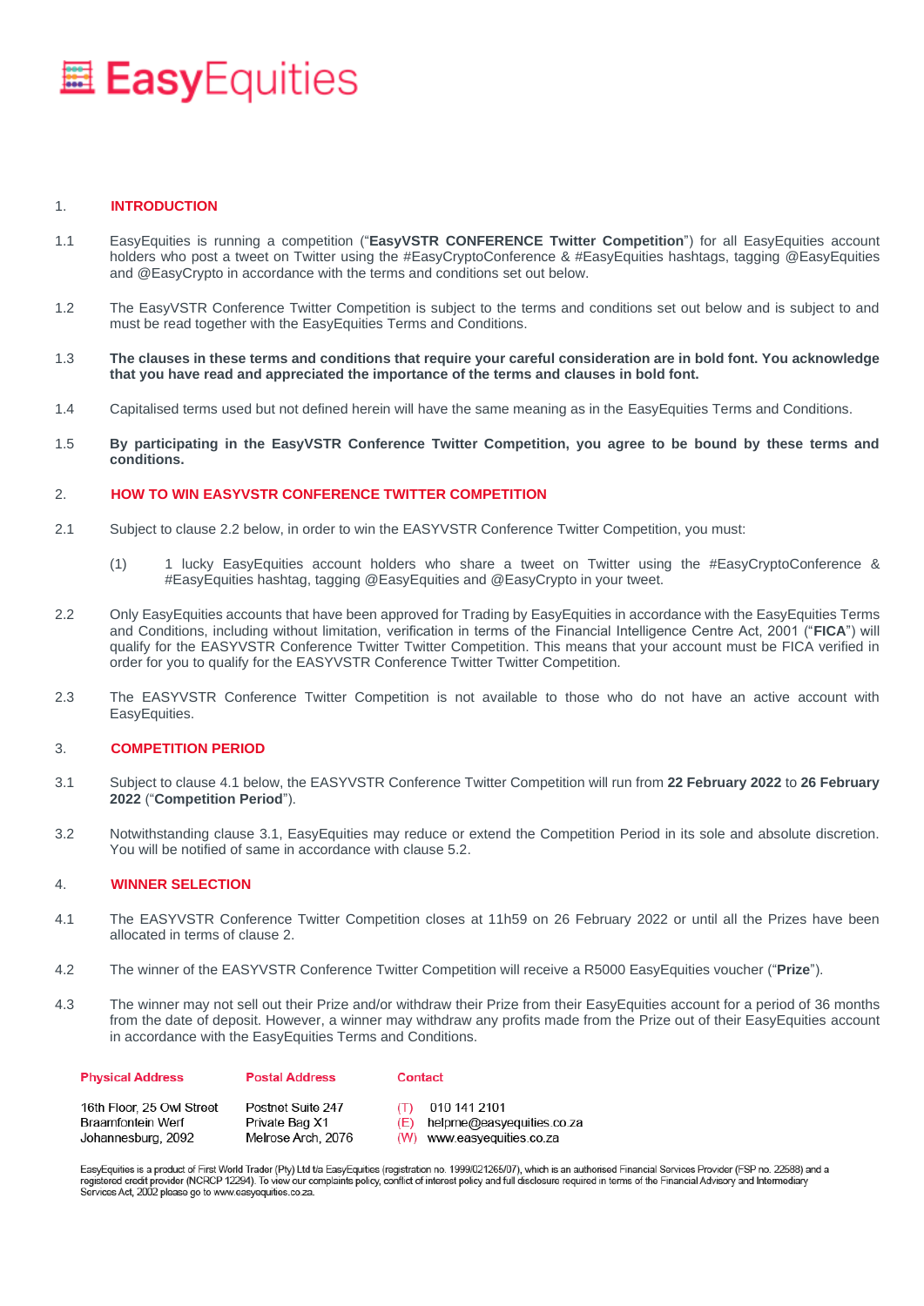# **量 Easy** Equities

#### <span id="page-2-0"></span>1. **INTRODUCTION**

- 1.1 EasyEquities is running a competition ("**EasyVSTR CONFERENCE Twitter Competition**") for all EasyEquities account holders who post a tweet on Twitter using the #EasyCryptoConference & #EasyEquities hashtags, tagging @EasyEquities and @EasyCrypto in accordance with the terms and conditions set out below.
- 1.2 The EasyVSTR Conference Twitter Competition is subject to the terms and conditions set out below and is subject to and must be read together with the EasyEquities Terms and Conditions.
- 1.3 **The clauses in these terms and conditions that require your careful consideration are in bold font. You acknowledge that you have read and appreciated the importance of the terms and clauses in bold font.**
- 1.4 Capitalised terms used but not defined herein will have the same meaning as in the EasyEquities Terms and Conditions.
- 1.5 **By participating in the EasyVSTR Conference Twitter Competition, you agree to be bound by these terms and conditions.**

#### <span id="page-2-1"></span>2. **HOW TO WIN EASYVSTR CONFERENCE TWITTER COMPETITION**

- 2.1 Subject to clause [2.2](#page-2-4) below, in order to win the EASYVSTR Conference Twitter Competition, you must:
	- (1) 1 lucky EasyEquities account holders who share a tweet on Twitter using the #EasyCryptoConference & #EasyEquities hashtag, tagging @EasyEquities and @EasyCrypto in your tweet.
- <span id="page-2-4"></span>2.2 Only EasyEquities accounts that have been approved for Trading by EasyEquities in accordance with the EasyEquities Terms and Conditions, including without limitation, verification in terms of the Financial Intelligence Centre Act, 2001 ("**FICA**") will qualify for the EASYVSTR Conference Twitter Twitter Competition. This means that your account must be FICA verified in order for you to qualify for the EASYVSTR Conference Twitter Twitter Competition.
- 2.3 The EASYVSTR Conference Twitter Competition is not available to those who do not have an active account with EasyEquities.

#### <span id="page-2-6"></span><span id="page-2-2"></span>3. **COMPETITION PERIOD**

- 3.1 Subject to clause [4.1](#page-2-5) below, the EASYVSTR Conference Twitter Competition will run from **22 February 2022** to **26 February 2022** ("**Competition Period**").
- 3.2 Notwithstanding clause [3.1,](#page-2-6) EasyEquities may reduce or extend the Competition Period in its sole and absolute discretion. You will be notified of same in accordance with claus[e 5.2.](#page-3-1)

#### <span id="page-2-5"></span><span id="page-2-3"></span>4. **WINNER SELECTION**

- 4.1 The EASYVSTR Conference Twitter Competition closes at 11h59 on 26 February 2022 or until all the Prizes have been allocated in terms of clause [2.](#page-2-1)
- 4.2 The winner of the EASYVSTR Conference Twitter Competition will receive a R5000 EasyEquities voucher ("**Prize**").
- 4.3 The winner may not sell out their Prize and/or withdraw their Prize from their EasyEquities account for a period of 36 months from the date of deposit. However, a winner may withdraw any profits made from the Prize out of their EasyEquities account in accordance with the EasyEquities Terms and Conditions.

| <b>Physical Address</b>                                                     | <b>Postal Address</b>                                     | Contact                                                                               |
|-----------------------------------------------------------------------------|-----------------------------------------------------------|---------------------------------------------------------------------------------------|
| 16th Floor, 25 Owl Street<br><b>Braamfontein Werf</b><br>Johannesburg, 2092 | Postnet Suite 247<br>Private Bag X1<br>Melrose Arch, 2076 | 010 141 2101<br>(T)<br>helpme@easyequities.co.za<br>(F)<br>(W) www.easyequities.co.za |

EasyEquities is a product of First World Trader (Pty) Ltd t/a EasyEquities (registration no. 1999/021265/07), which is an authorised Financial Services Provider (FSP no. 22588) and a Exercise of the Contract Contract Contract Contract Contract Contract Contract Contract Contract Contract Contract Contract Contract Contract Contract Contract Contract Contract Contract Contract Contract Contract Contract Services Act, 2002 please go to www.easyequities.co.za.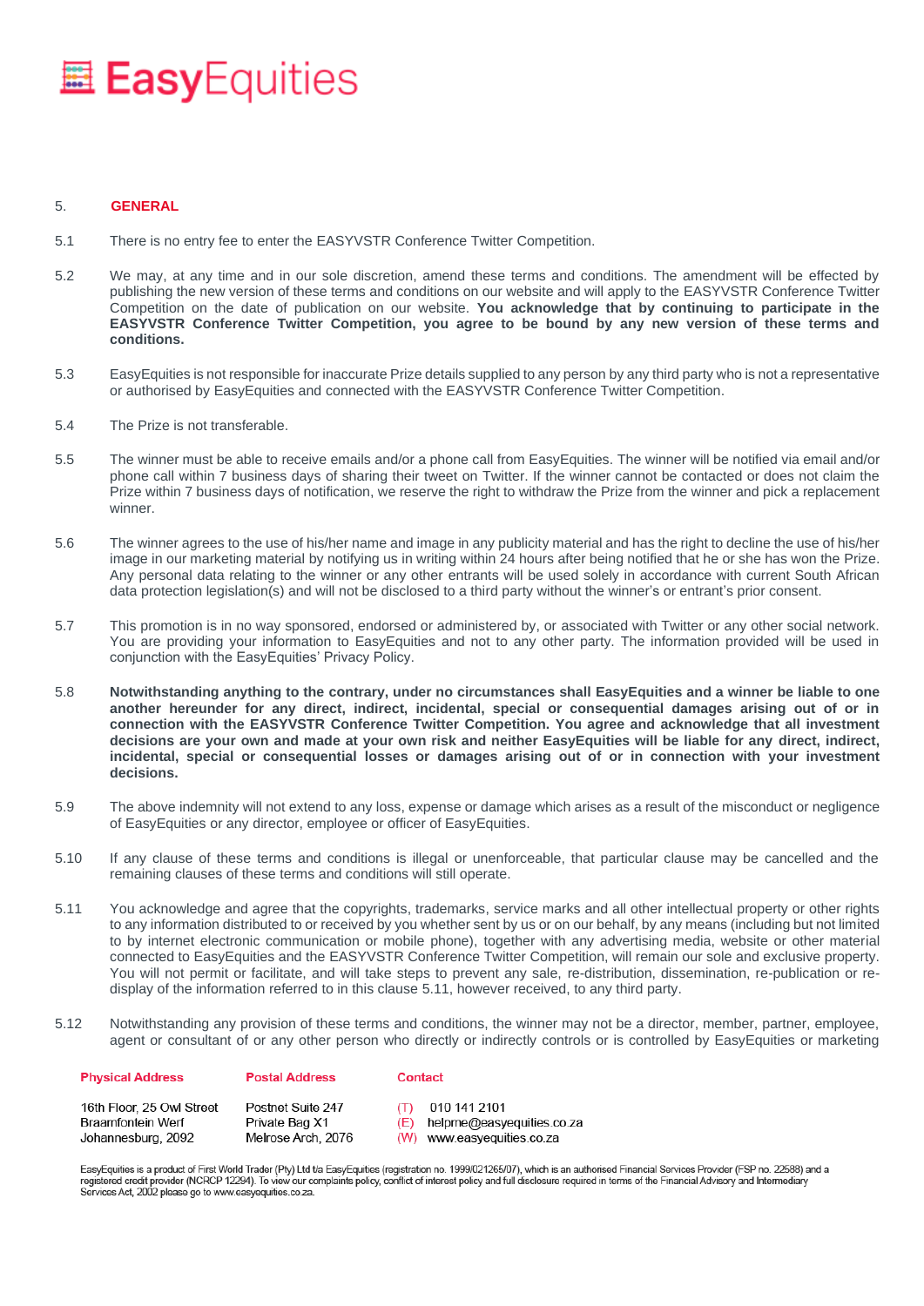# **量 Easy** Equities

#### <span id="page-3-0"></span>5. **GENERAL**

- 5.1 There is no entry fee to enter the EASYVSTR Conference Twitter Competition.
- <span id="page-3-1"></span>5.2 We may, at any time and in our sole discretion, amend these terms and conditions. The amendment will be effected by publishing the new version of these terms and conditions on our website and will apply to the EASYVSTR Conference Twitter Competition on the date of publication on our website. **You acknowledge that by continuing to participate in the EASYVSTR Conference Twitter Competition, you agree to be bound by any new version of these terms and conditions.**
- 5.3 EasyEquities is not responsible for inaccurate Prize details supplied to any person by any third party who is not a representative or authorised by EasyEquities and connected with the EASYVSTR Conference Twitter Competition.
- 5.4 The Prize is not transferable.
- 5.5 The winner must be able to receive emails and/or a phone call from EasyEquities. The winner will be notified via email and/or phone call within 7 business days of sharing their tweet on Twitter. If the winner cannot be contacted or does not claim the Prize within 7 business days of notification, we reserve the right to withdraw the Prize from the winner and pick a replacement winner.
- 5.6 The winner agrees to the use of his/her name and image in any publicity material and has the right to decline the use of his/her image in our marketing material by notifying us in writing within 24 hours after being notified that he or she has won the Prize. Any personal data relating to the winner or any other entrants will be used solely in accordance with current South African data protection legislation(s) and will not be disclosed to a third party without the winner's or entrant's prior consent.
- 5.7 This promotion is in no way sponsored, endorsed or administered by, or associated with Twitter or any other social network. You are providing your information to EasyEquities and not to any other party. The information provided will be used in conjunction with the EasyEquities' Privacy Policy.
- 5.8 **Notwithstanding anything to the contrary, under no circumstances shall EasyEquities and a winner be liable to one another hereunder for any direct, indirect, incidental, special or consequential damages arising out of or in connection with the EASYVSTR Conference Twitter Competition. You agree and acknowledge that all investment decisions are your own and made at your own risk and neither EasyEquities will be liable for any direct, indirect, incidental, special or consequential losses or damages arising out of or in connection with your investment decisions.**
- 5.9 The above indemnity will not extend to any loss, expense or damage which arises as a result of the misconduct or negligence of EasyEquities or any director, employee or officer of EasyEquities.
- 5.10 If any clause of these terms and conditions is illegal or unenforceable, that particular clause may be cancelled and the remaining clauses of these terms and conditions will still operate.
- <span id="page-3-2"></span>5.11 You acknowledge and agree that the copyrights, trademarks, service marks and all other intellectual property or other rights to any information distributed to or received by you whether sent by us or on our behalf, by any means (including but not limited to by internet electronic communication or mobile phone), together with any advertising media, website or other material connected to EasyEquities and the EASYVSTR Conference Twitter Competition, will remain our sole and exclusive property. You will not permit or facilitate, and will take steps to prevent any sale, re-distribution, dissemination, re-publication or redisplay of the information referred to in this clause [5.11,](#page-3-2) however received, to any third party.
- 5.12 Notwithstanding any provision of these terms and conditions, the winner may not be a director, member, partner, employee, agent or consultant of or any other person who directly or indirectly controls or is controlled by EasyEquities or marketing

co za

| <b>Physical Address</b>                                              | <b>Postal Address</b>                                     | Contact                                                                           |  |
|----------------------------------------------------------------------|-----------------------------------------------------------|-----------------------------------------------------------------------------------|--|
| 16th Floor, 25 Owl Street<br>Braamfontein Werf<br>Johannesburg, 2092 | Postnet Suite 247<br>Private Bag X1<br>Melrose Arch, 2076 | 010 141 2101<br>(T)<br>helpme@easyequities.c<br>(F)<br>(W) www.easyequities.co.za |  |

EasyEquities is a product of First World Trader (Pty) Ltd t/a EasyEquities (registration no. 1999/021265/07), which is an authorised Financial Services Provider (FSP no. 22588) and a Exercise of the Contract Contract Contract Contract Contract Contract Contract Contract Contract Contract Contract Contract Contract Contract Contract Contract Contract Contract Contract Contract Contract Contract Contract Services Act, 2002 please go to www.easyequities.co.za.